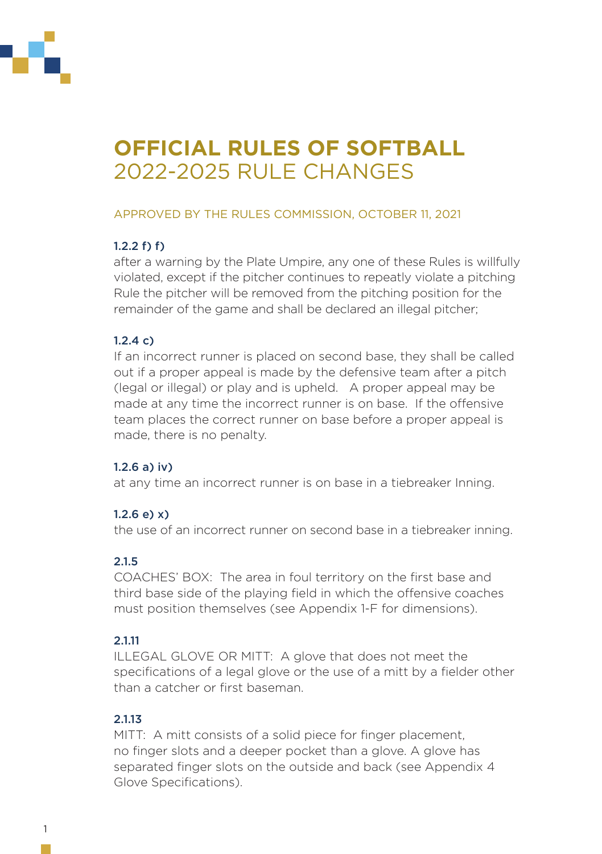

# **OFFICIAL RULES OF SOFTBALL** 2022-2025 RULE CHANGES

## APPROVED BY THE RULES COMMISSION, OCTOBER 11, 2021

# 1.2.2 f) f)

after a warning by the Plate Umpire, any one of these Rules is willfully violated, except if the pitcher continues to repeatly violate a pitching Rule the pitcher will be removed from the pitching position for the remainder of the game and shall be declared an illegal pitcher;

# 1.2.4 c)

If an incorrect runner is placed on second base, they shall be called out if a proper appeal is made by the defensive team after a pitch (legal or illegal) or play and is upheld. A proper appeal may be made at any time the incorrect runner is on base. If the offensive team places the correct runner on base before a proper appeal is made, there is no penalty.

## 1.2.6 a) iv)

at any time an incorrect runner is on base in a tiebreaker Inning.

# $1.2.6$  e) x)

the use of an incorrect runner on second base in a tiebreaker inning.

# 2.1.5

COACHES' BOX: The area in foul territory on the first base and third base side of the playing field in which the offensive coaches must position themselves (see Appendix 1-F for dimensions).

## 2.1.11

ILLEGAL GLOVE OR MITT: A glove that does not meet the specifications of a legal glove or the use of a mitt by a fielder other than a catcher or first baseman.

## 2.1.13

MITT: A mitt consists of a solid piece for finger placement. no finger slots and a deeper pocket than a glove. A glove has separated finger slots on the outside and back (see Appendix 4 Glove Specifications).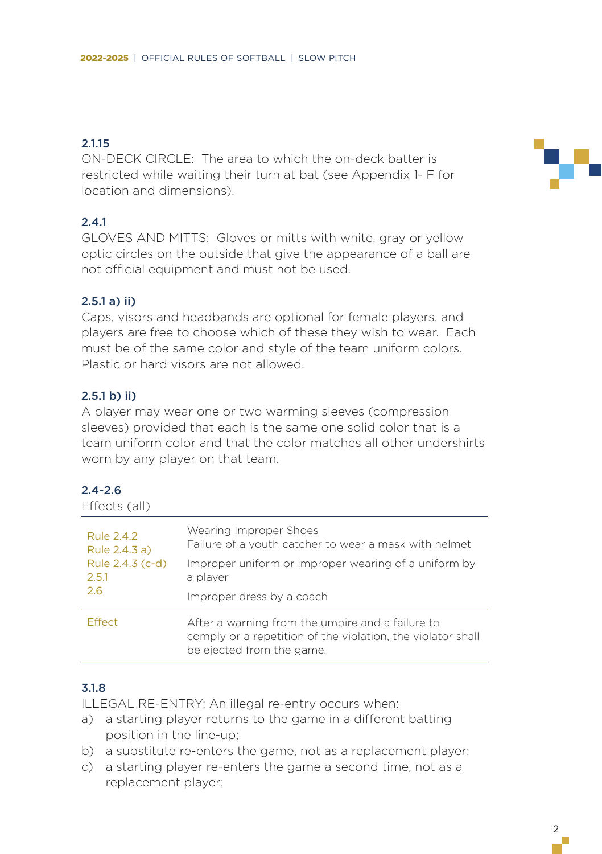#### 2.115

ON-DECK CIRCLE: The area to which the on-deck batter is restricted while waiting their turn at bat (see Appendix 1- F for location and dimensions).

# 2.4.1

GLOVES AND MITTS: Gloves or mitts with white, gray or yellow optic circles on the outside that give the appearance of a ball are not official equipment and must not be used.

#### 2.5.1 a) ii)

Caps, visors and headbands are optional for female players, and players are free to choose which of these they wish to wear. Each must be of the same color and style of the team uniform colors. Plastic or hard visors are not allowed.

#### 2.5.1 b) ii)

A player may wear one or two warming sleeves (compression sleeves) provided that each is the same one solid color that is a team uniform color and that the color matches all other undershirts worn by any player on that team.

#### $24 - 26$

| Effects (all)                                                   |                                                                                                                                              |
|-----------------------------------------------------------------|----------------------------------------------------------------------------------------------------------------------------------------------|
| Rule 2.4.2<br>Rule 2.4.3 a)<br>Rule 2.4.3 (c-d)<br>2.5.1<br>2.6 | Wearing Improper Shoes<br>Failure of a youth catcher to wear a mask with helmet                                                              |
|                                                                 | Improper uniform or improper wearing of a uniform by<br>a player                                                                             |
|                                                                 | Improper dress by a coach                                                                                                                    |
| <b>Effect</b>                                                   | After a warning from the umpire and a failure to<br>comply or a repetition of the violation, the violator shall<br>be ejected from the game. |

#### 3.1.8

ILLEGAL RE-ENTRY: An illegal re-entry occurs when:

- a) a starting player returns to the game in a different batting position in the line-up;
- b) a substitute re-enters the game, not as a replacement player;
- c) a starting player re-enters the game a second time, not as a replacement player;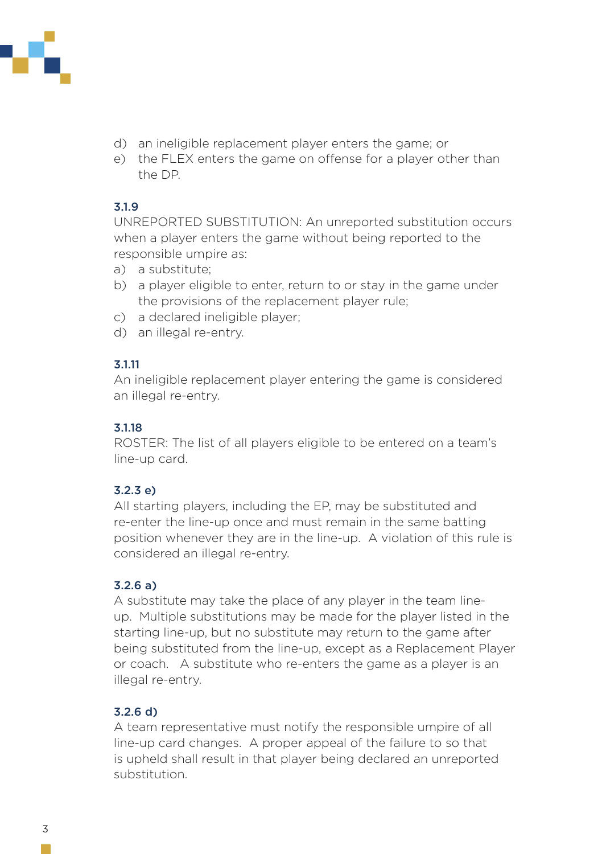

- d) an ineligible replacement player enters the game; or
- e) the FLEX enters the game on offense for a player other than the DP.

#### 3.1.9

UNREPORTED SUBSTITUTION: An unreported substitution occurs when a player enters the game without being reported to the responsible umpire as:

- a) a substitute;
- b) a player eligible to enter, return to or stay in the game under the provisions of the replacement player rule;
- c) a declared ineligible player;
- d) an illegal re-entry.

#### 3.1.11

An ineligible replacement player entering the game is considered an illegal re-entry.

#### 3.1.18

ROSTER: The list of all players eligible to be entered on a team's line-up card.

## 3.2.3 e)

All starting players, including the EP, may be substituted and re-enter the line-up once and must remain in the same batting position whenever they are in the line-up. A violation of this rule is considered an illegal re-entry.

## 3.2.6 a)

A substitute may take the place of any player in the team lineup. Multiple substitutions may be made for the player listed in the starting line-up, but no substitute may return to the game after being substituted from the line-up, except as a Replacement Player or coach. A substitute who re-enters the game as a player is an illegal re-entry.

## 3.2.6 d)

A team representative must notify the responsible umpire of all line-up card changes. A proper appeal of the failure to so that is upheld shall result in that player being declared an unreported substitution.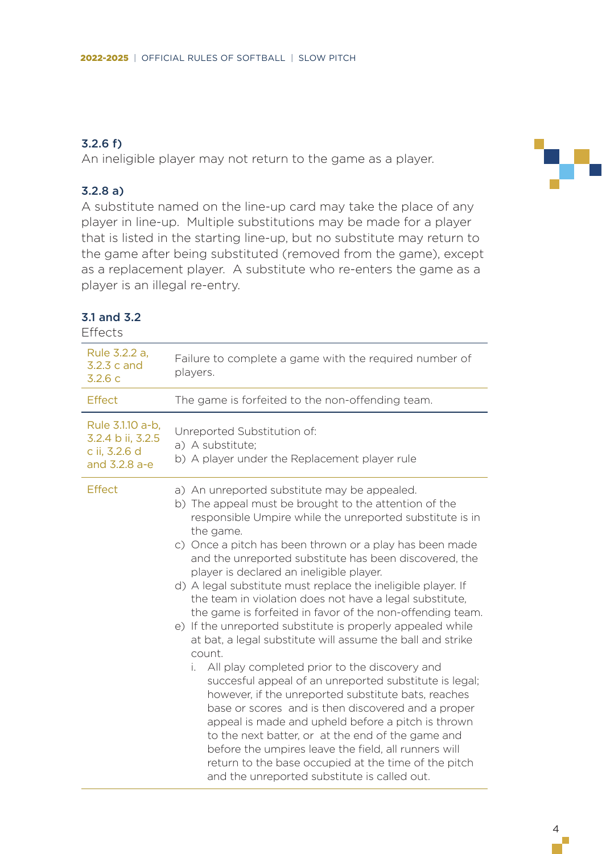# 3.2.6 f)

An ineligible player may not return to the game as a player.

#### 3.2.8 a)

3.1 and 3.2 Effects

A substitute named on the line-up card may take the place of any player in line-up. Multiple substitutions may be made for a player that is listed in the starting line-up, but no substitute may return to the game after being substituted (removed from the game), except as a replacement player. A substitute who re-enters the game as a player is an illegal re-entry.

| Rule 3.2.2 a,<br>3.2.3 c and<br>3.2.6 c                                 | Failure to complete a game with the required number of<br>players.                                                                                                                                                                                                                                                                                                                                                                                                                                                                                                                                                                                                                                                                                                                                                                                                                                          |
|-------------------------------------------------------------------------|-------------------------------------------------------------------------------------------------------------------------------------------------------------------------------------------------------------------------------------------------------------------------------------------------------------------------------------------------------------------------------------------------------------------------------------------------------------------------------------------------------------------------------------------------------------------------------------------------------------------------------------------------------------------------------------------------------------------------------------------------------------------------------------------------------------------------------------------------------------------------------------------------------------|
| Effect                                                                  | The game is forfeited to the non-offending team.                                                                                                                                                                                                                                                                                                                                                                                                                                                                                                                                                                                                                                                                                                                                                                                                                                                            |
| Rule 3.1.10 a-b.<br>3.2.4 b ii, 3.2.5<br>c ii, 3.2.6 d<br>and 3.2.8 a-e | Unreported Substitution of:<br>a) A substitute;<br>b) A player under the Replacement player rule                                                                                                                                                                                                                                                                                                                                                                                                                                                                                                                                                                                                                                                                                                                                                                                                            |
| Effect                                                                  | a) An unreported substitute may be appealed.<br>b) The appeal must be brought to the attention of the<br>responsible Umpire while the unreported substitute is in<br>the game.<br>c) Once a pitch has been thrown or a play has been made<br>and the unreported substitute has been discovered, the<br>player is declared an ineligible player.<br>d) A legal substitute must replace the ineligible player. If<br>the team in violation does not have a legal substitute.<br>the game is forfeited in favor of the non-offending team.<br>e) If the unreported substitute is properly appealed while<br>at bat, a legal substitute will assume the ball and strike<br>count.<br>All play completed prior to the discovery and<br>i.<br>succesful appeal of an unreported substitute is legal;<br>however, if the unreported substitute bats, reaches<br>base or scores and is then discovered and a proper |

to the next batter, or at the end of the game and before the umpires leave the field, all runners will return to the base occupied at the time of the pitch and the unreported substitute is called out.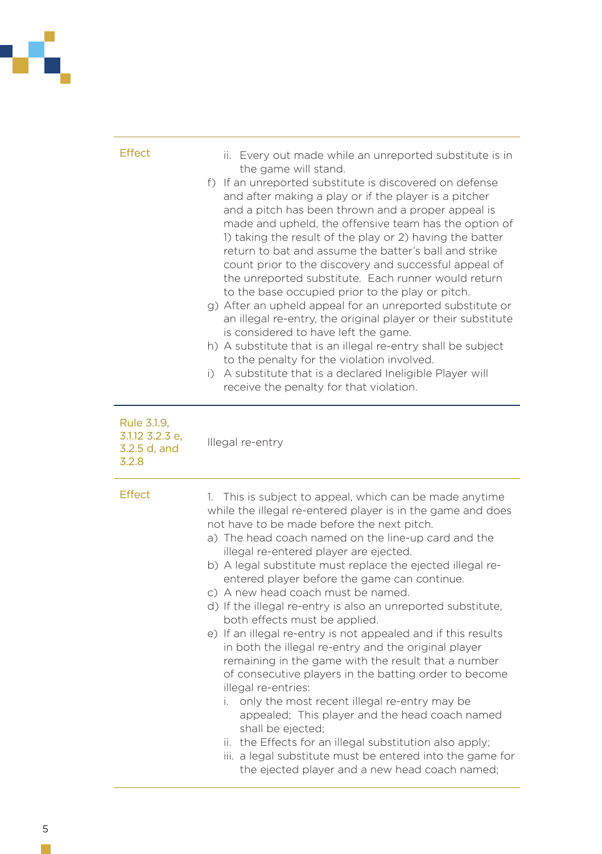

| Effect                                                  | ii. Every out made while an unreported substitute is in<br>the game will stand.<br>f) If an unreported substitute is discovered on defense<br>and after making a play or if the player is a pitcher<br>and a pitch has been thrown and a proper appeal is<br>made and upheld, the offensive team has the option of<br>1) taking the result of the play or 2) having the batter<br>return to bat and assume the batter's ball and strike<br>count prior to the discovery and successful appeal of<br>the unreported substitute. Each runner would return<br>to the base occupied prior to the play or pitch.<br>g) After an upheld appeal for an unreported substitute or<br>an illegal re-entry, the original player or their substitute<br>is considered to have left the game.<br>h) A substitute that is an illegal re-entry shall be subject<br>to the penalty for the violation involved.<br>A substitute that is a declared Ineligible Player will<br>i)<br>receive the penalty for that violation.                                                                                         |
|---------------------------------------------------------|---------------------------------------------------------------------------------------------------------------------------------------------------------------------------------------------------------------------------------------------------------------------------------------------------------------------------------------------------------------------------------------------------------------------------------------------------------------------------------------------------------------------------------------------------------------------------------------------------------------------------------------------------------------------------------------------------------------------------------------------------------------------------------------------------------------------------------------------------------------------------------------------------------------------------------------------------------------------------------------------------------------------------------------------------------------------------------------------------|
| Rule 3.1.9,<br>3.1.12 3.2.3 e,<br>3.2.5 d, and<br>3.2.8 | Illegal re-entry                                                                                                                                                                                                                                                                                                                                                                                                                                                                                                                                                                                                                                                                                                                                                                                                                                                                                                                                                                                                                                                                                  |
| Effect                                                  | 1. This is subject to appeal, which can be made anytime<br>while the illegal re-entered player is in the game and does<br>not have to be made before the next pitch.<br>a) The head coach named on the line-up card and the<br>illegal re-entered player are ejected.<br>b) A legal substitute must replace the ejected illegal re-<br>entered player before the game can continue.<br>c) A new head coach must be named.<br>d) If the illegal re-entry is also an unreported substitute,<br>both effects must be applied.<br>e) If an illegal re-entry is not appealed and if this results<br>in both the illegal re-entry and the original player<br>remaining in the game with the result that a number<br>of consecutive players in the batting order to become<br>illegal re-entries:<br>only the most recent illegal re-entry may be<br>i.<br>appealed; This player and the head coach named<br>shall be ejected;<br>ii. the Effects for an illegal substitution also apply;<br>iii. a legal substitute must be entered into the game for<br>the ejected player and a new head coach named; |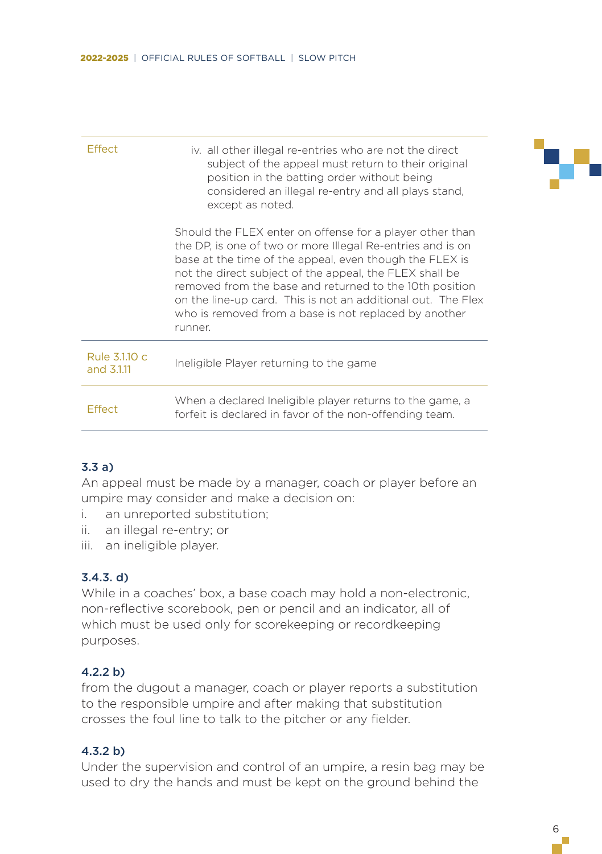| iv. all other illegal re-entries who are not the direct<br>subject of the appeal must return to their original<br>position in the batting order without being<br>considered an illegal re-entry and all plays stand.<br>except as noted.                                                                                                                                                                                                    |
|---------------------------------------------------------------------------------------------------------------------------------------------------------------------------------------------------------------------------------------------------------------------------------------------------------------------------------------------------------------------------------------------------------------------------------------------|
| Should the FLEX enter on offense for a player other than<br>the DP, is one of two or more Illegal Re-entries and is on<br>base at the time of the appeal, even though the FLEX is<br>not the direct subject of the appeal, the FLEX shall be<br>removed from the base and returned to the 10th position<br>on the line-up card. This is not an additional out. The Flex<br>who is removed from a base is not replaced by another<br>runner. |
| Ineligible Player returning to the game                                                                                                                                                                                                                                                                                                                                                                                                     |
| When a declared Ineligible player returns to the game, a<br>forfeit is declared in favor of the non-offending team.                                                                                                                                                                                                                                                                                                                         |
|                                                                                                                                                                                                                                                                                                                                                                                                                                             |

#### 3.3 a)

An appeal must be made by a manager, coach or player before an umpire may consider and make a decision on:

- i. an unreported substitution;
- ii. an illegal re-entry; or
- iii. an ineligible player.

## 3.4.3. d)

While in a coaches' box, a base coach may hold a non-electronic, non-reflective scorebook, pen or pencil and an indicator, all of which must be used only for scorekeeping or recordkeeping purposes.

#### 4.2.2 b)

from the dugout a manager, coach or player reports a substitution to the responsible umpire and after making that substitution crosses the foul line to talk to the pitcher or any fielder.

#### 4.3.2 b)

Under the supervision and control of an umpire, a resin bag may be used to dry the hands and must be kept on the ground behind the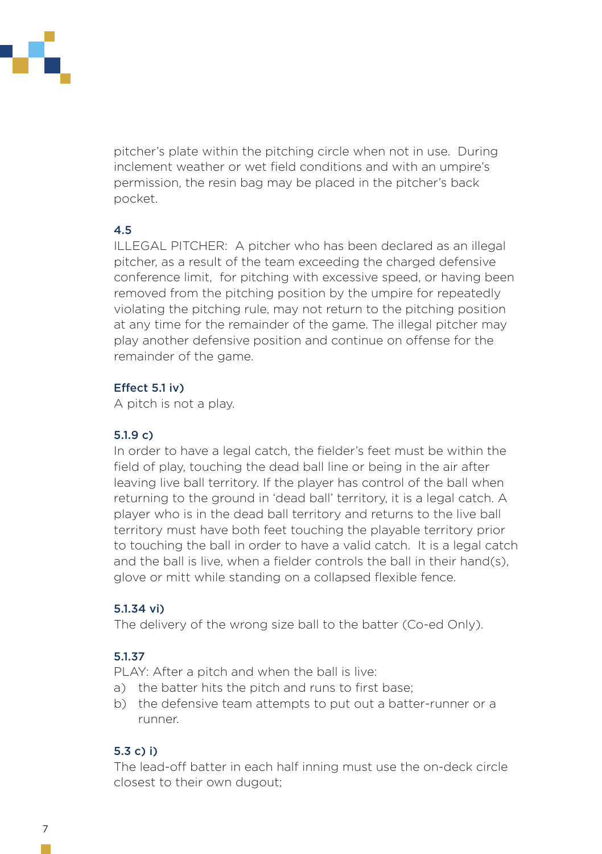

pitcher's plate within the pitching circle when not in use. During inclement weather or wet field conditions and with an umpire's permission, the resin bag may be placed in the pitcher's back pocket.

## 4.5

ILLEGAL PITCHER: A pitcher who has been declared as an illegal pitcher, as a result of the team exceeding the charged defensive conference limit, for pitching with excessive speed, or having been removed from the pitching position by the umpire for repeatedly violating the pitching rule, may not return to the pitching position at any time for the remainder of the game. The illegal pitcher may play another defensive position and continue on offense for the remainder of the game.

# Effect 5.1 iv)

A pitch is not a play.

## 5.1.9 c)

In order to have a legal catch, the fielder's feet must be within the field of play, touching the dead ball line or being in the air after leaving live ball territory. If the player has control of the ball when returning to the ground in 'dead ball' territory, it is a legal catch. A player who is in the dead ball territory and returns to the live ball territory must have both feet touching the playable territory prior to touching the ball in order to have a valid catch. It is a legal catch and the ball is live, when a fielder controls the ball in their hand(s), glove or mitt while standing on a collapsed flexible fence.

# 5.1.34 vi)

The delivery of the wrong size ball to the batter (Co-ed Only).

# 5.1.37

PLAY: After a pitch and when the ball is live:

- a) the batter hits the pitch and runs to first base;
- b) the defensive team attempts to put out a batter-runner or a runner.

# 5.3 c) i)

The lead-off batter in each half inning must use the on-deck circle closest to their own dugout;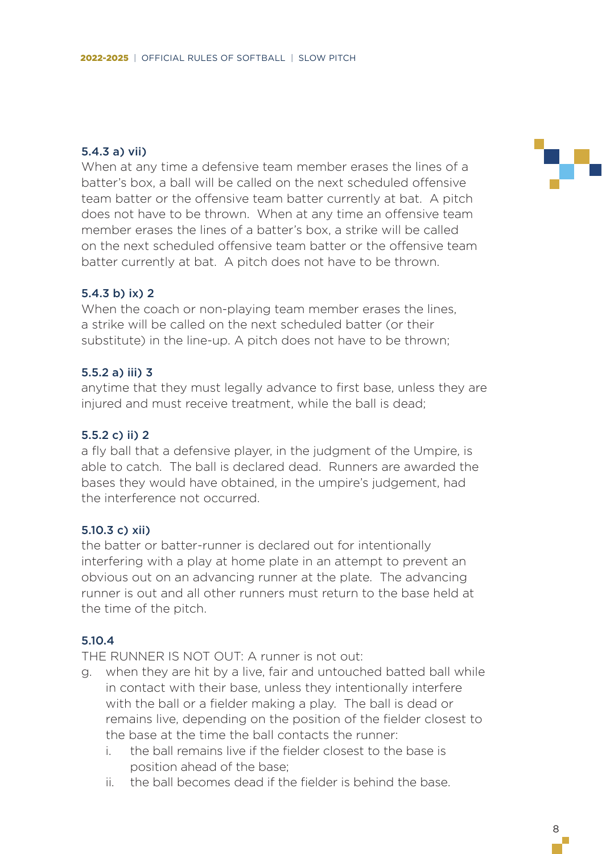#### 5.4.3 a) vii)

When at any time a defensive team member erases the lines of a batter's box, a ball will be called on the next scheduled offensive team batter or the offensive team batter currently at bat. A pitch does not have to be thrown. When at any time an offensive team member erases the lines of a batter's box, a strike will be called on the next scheduled offensive team batter or the offensive team batter currently at bat. A pitch does not have to be thrown.

#### 5.4.3 b) ix) 2

When the coach or non-playing team member erases the lines, a strike will be called on the next scheduled batter (or their substitute) in the line-up. A pitch does not have to be thrown;

#### 5.5.2 a) iii) 3

anytime that they must legally advance to first base, unless they are injured and must receive treatment, while the ball is dead;

#### 5.5.2 c) ii) 2

a fly ball that a defensive player, in the judgment of the Umpire, is able to catch. The ball is declared dead. Runners are awarded the bases they would have obtained, in the umpire's judgement, had the interference not occurred.

#### 5.10.3 c) xii)

the batter or batter-runner is declared out for intentionally interfering with a play at home plate in an attempt to prevent an obvious out on an advancing runner at the plate. The advancing runner is out and all other runners must return to the base held at the time of the pitch.

#### 5.10.4

THE RUNNER IS NOT OUT: A runner is not out:

- g. when they are hit by a live, fair and untouched batted ball while in contact with their base, unless they intentionally interfere with the ball or a fielder making a play. The ball is dead or remains live, depending on the position of the fielder closest to the base at the time the ball contacts the runner:
	- i. the ball remains live if the fielder closest to the base is position ahead of the base;
	- ii. the ball becomes dead if the fielder is behind the base.